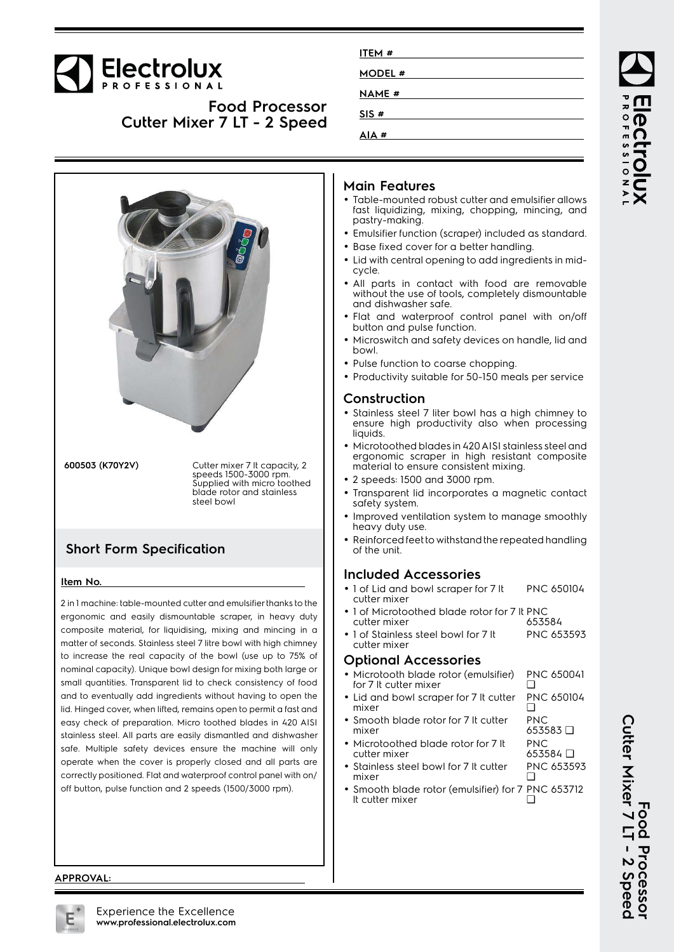# Electrolux

**Food Processor Cutter Mixer 7 LT - 2 Speed**



**600503 (K70Y2V)** Cutter mixer 7 lt capacity, 2 speeds 1500-3000 rpm. Supplied with micro toothed blade rotor and stainless steel bowl

## **Short Form Specification**

#### **Item No.**

2 in 1 machine: table-mounted cutter and emulsifier thanks to the ergonomic and easily dismountable scraper, in heavy duty composite material, for liquidising, mixing and mincing in a matter of seconds. Stainless steel 7 litre bowl with high chimney to increase the real capacity of the bowl (use up to 75% of nominal capacity). Unique bowl design for mixing both large or small quantities. Transparent lid to check consistency of food and to eventually add ingredients without having to open the lid. Hinged cover, when lifted, remains open to permit a fast and easy check of preparation. Micro toothed blades in 420 AISI stainless steel. All parts are easily dismantled and dishwasher safe. Multiple safety devices ensure the machine will only operate when the cover is properly closed and all parts are correctly positioned. Flat and waterproof control panel with on/ off button, pulse function and 2 speeds (1500/3000 rpm).

| ITEM #        |  |
|---------------|--|
| <b>MODEL#</b> |  |
| <b>NAME</b> # |  |
| SIS#          |  |
| AIA #         |  |
|               |  |

### **Main Features**

- • Table-mounted robust cutter and emulsifier allows fast liquidizing, mixing, chopping, mincing, and pastry-making.
- •Emulsifier function (scraper) included as standard.
- Base fixed cover for a better handling.
- Lid with central opening to add ingredients in midcycle.
- • All parts in contact with food are removable without the use of tools, completely dismountable and dishwasher safe.
- • Flat and waterproof control panel with on/off button and pulse function.
- Microswitch and safety devices on handle, lid and bowl.
- Pulse function to coarse chopping.
- Productivity suitable for 50-150 meals per service

#### **Construction**

- Stainless steel 7 liter bowl has a high chimney to ensure high productivity also when processing liquids.
- Microtoothed blades in 420 AISI stainless steel and ergonomic scraper in high resistant composite material to ensure consistent mixing.
- 2 speeds: 1500 and 3000 rpm.
- Transparent lid incorporates a magnetic contact safety system.
- Improved ventilation system to manage smoothly heavy duty use.
- Reinforced feet to withstand the repeated handling of the unit.

#### **Included Accessories**

- 1 of Lid and bowl scraper for 7 It cutter mixer PNC 650104
- •• 1 of Microtoothed blade rotor for 7 It PNC cutter mixer 653584
- 1 of Stainless steel bowl for 7 It cutter mixer PNC 653593

#### **Optional Accessories**

| • Microtooth blade rotor (emulsifier) PNC 650041<br>for 7 It cutter mixer |  |
|---------------------------------------------------------------------------|--|
| • Lid and bowl scraper for 7 It cutter PNC 650104<br>mixer                |  |

653584 ❑

- • Smooth blade rotor for 7 lt cutter mixer PNC 653583 ❑ PNC
- Microtoothed blade rotor for 7 lt cutter mixer
- Stainless steel bowl for 7 It cutter mixer PNC 653593  $\Box$
- •• Smooth blade rotor (emulsifier) for 7 PNC 653712 lt cutter mixer ❑

**APPROVAL:**